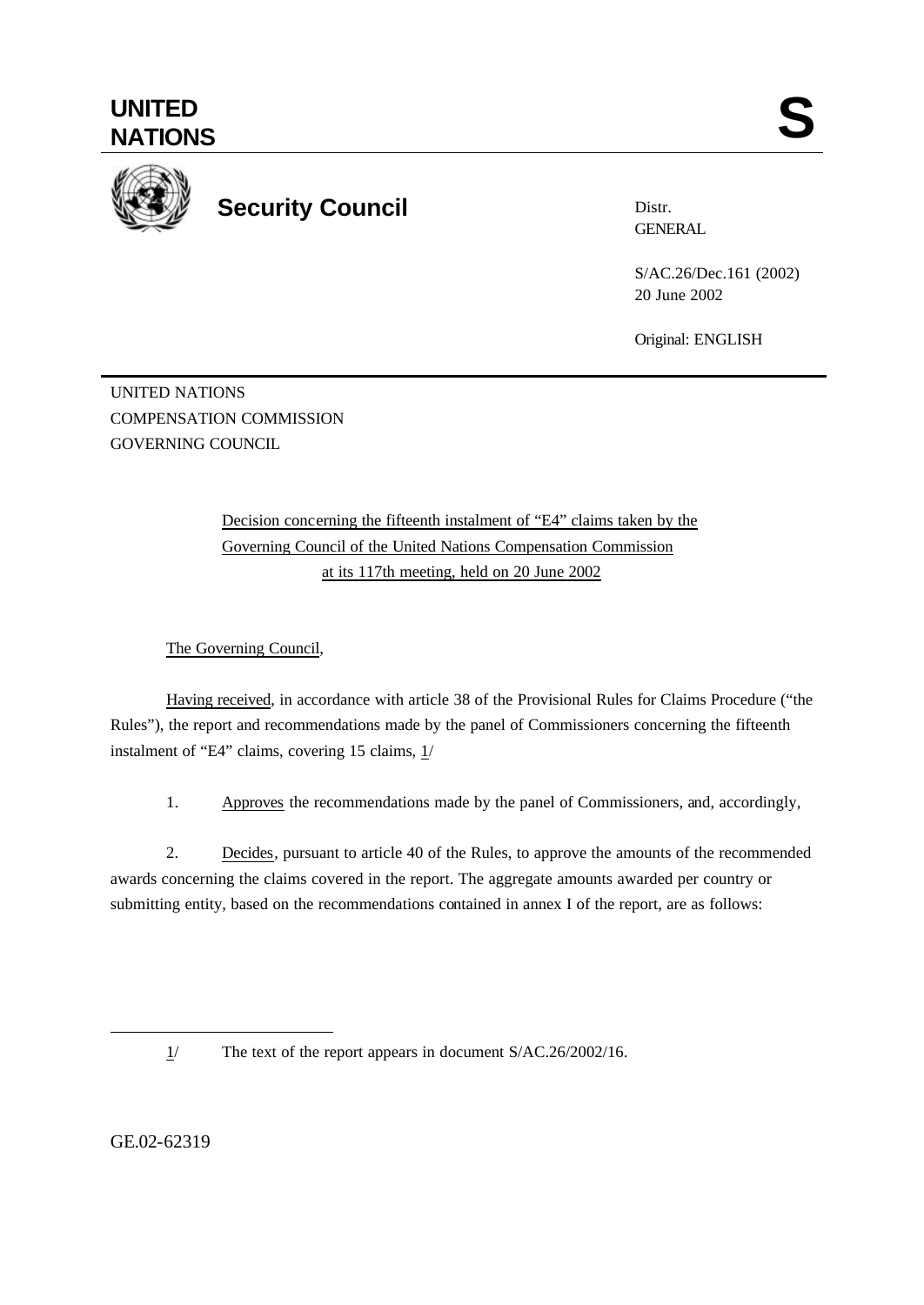

Distr. GENERAL

> S/AC.26/Dec.161 (2002) 20 June 2002

Original: ENGLISH

UNITED NATIONS COMPENSATION COMMISSION GOVERNING COUNCIL

> Decision concerning the fifteenth instalment of "E4" claims taken by the Governing Council of the United Nations Compensation Commission at its 117th meeting, held on 20 June 2002

The Governing Council,

Having received, in accordance with article 38 of the Provisional Rules for Claims Procedure ("the Rules"), the report and recommendations made by the panel of Commissioners concerning the fifteenth instalment of "E4" claims, covering 15 claims, 1/

1. Approves the recommendations made by the panel of Commissioners, and, accordingly,

2. Decides, pursuant to article 40 of the Rules, to approve the amounts of the recommended awards concerning the claims covered in the report. The aggregate amounts awarded per country or submitting entity, based on the recommendations contained in annex I of the report, are as follows:

1/ The text of the report appears in document S/AC.26/2002/16.

GE.02-62319

l